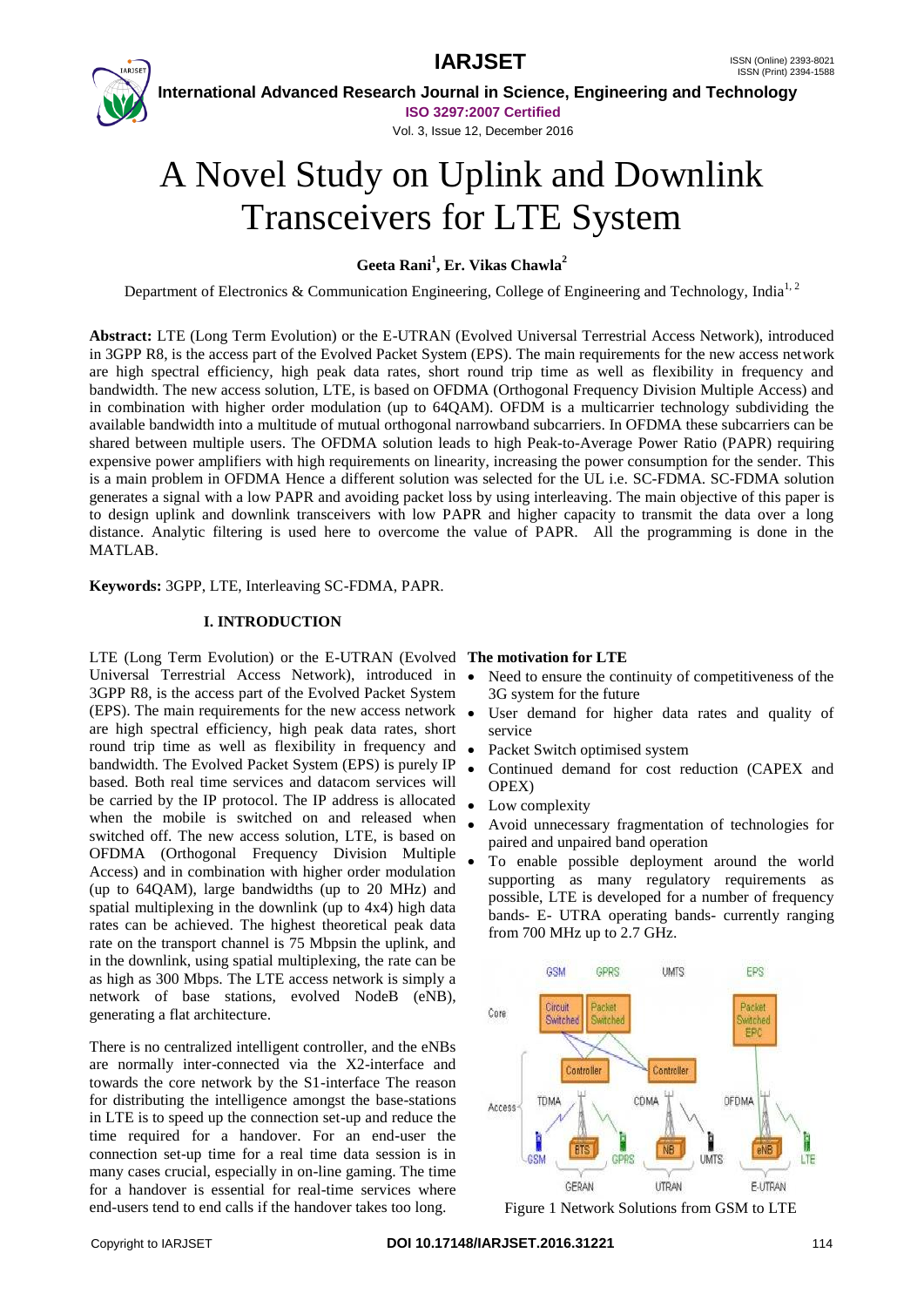



 **International Advanced Research Journal in Science, Engineering and Technology ISO 3297:2007 Certified**

Vol. 3, Issue 12, December 2016

# A Novel Study on Uplink and Downlink Transceivers for LTE System

# **Geeta Rani<sup>1</sup> , Er. Vikas Chawla<sup>2</sup>**

Department of Electronics & Communication Engineering, College of Engineering and Technology, India<sup>1, 2</sup>

**Abstract:** LTE (Long Term Evolution) or the E-UTRAN (Evolved Universal Terrestrial Access Network), introduced in 3GPP R8, is the access part of the Evolved Packet System (EPS). The main requirements for the new access network are high spectral efficiency, high peak data rates, short round trip time as well as flexibility in frequency and bandwidth. The new access solution, LTE, is based on OFDMA (Orthogonal Frequency Division Multiple Access) and in combination with higher order modulation (up to 64QAM). OFDM is a multicarrier technology subdividing the available bandwidth into a multitude of mutual orthogonal narrowband subcarriers. In OFDMA these subcarriers can be shared between multiple users. The OFDMA solution leads to high Peak-to-Average Power Ratio (PAPR) requiring expensive power amplifiers with high requirements on linearity, increasing the power consumption for the sender. This is a main problem in OFDMA Hence a different solution was selected for the UL i.e. SC-FDMA. SC-FDMA solution generates a signal with a low PAPR and avoiding packet loss by using interleaving. The main objective of this paper is to design uplink and downlink transceivers with low PAPR and higher capacity to transmit the data over a long distance. Analytic filtering is used here to overcome the value of PAPR. All the programming is done in the MATLAB.

**Keywords:** 3GPP, LTE, Interleaving SC-FDMA, PAPR.

# **I. INTRODUCTION**

LTE (Long Term Evolution) or the E-UTRAN (Evolved **The motivation for LTE** Universal Terrestrial Access Network), introduced in 3GPP R8, is the access part of the Evolved Packet System (EPS). The main requirements for the new access network are high spectral efficiency, high peak data rates, short round trip time as well as flexibility in frequency and bandwidth. The Evolved Packet System (EPS) is purely IP based. Both real time services and datacom services will be carried by the IP protocol. The IP address is allocated when the mobile is switched on and released when switched off. The new access solution, LTE, is based on OFDMA (Orthogonal Frequency Division Multiple Access) and in combination with higher order modulation (up to 64QAM), large bandwidths (up to 20 MHz) and spatial multiplexing in the downlink (up to 4x4) high data rates can be achieved. The highest theoretical peak data rate on the transport channel is 75 Mbpsin the uplink, and in the downlink, using spatial multiplexing, the rate can be as high as 300 Mbps. The LTE access network is simply a network of base stations, evolved NodeB (eNB), generating a flat architecture.

There is no centralized intelligent controller, and the eNBs are normally inter-connected via the X2-interface and towards the core network by the S1-interface The reason for distributing the intelligence amongst the base-stations in LTE is to speed up the connection set-up and reduce the time required for a handover. For an end-user the connection set-up time for a real time data session is in many cases crucial, especially in on-line gaming. The time for a handover is essential for real-time services where end-users tend to end calls if the handover takes too long.

- Need to ensure the continuity of competitiveness of the 3G system for the future
- User demand for higher data rates and quality of service
- Packet Switch optimised system
- Continued demand for cost reduction (CAPEX and OPEX)
- Low complexity
- Avoid unnecessary fragmentation of technologies for paired and unpaired band operation
- To enable possible deployment around the world supporting as many regulatory requirements as possible, LTE is developed for a number of frequency bands- E- UTRA operating bands- currently ranging from 700 MHz up to 2.7 GHz.



Figure 1 Network Solutions from GSM to LTE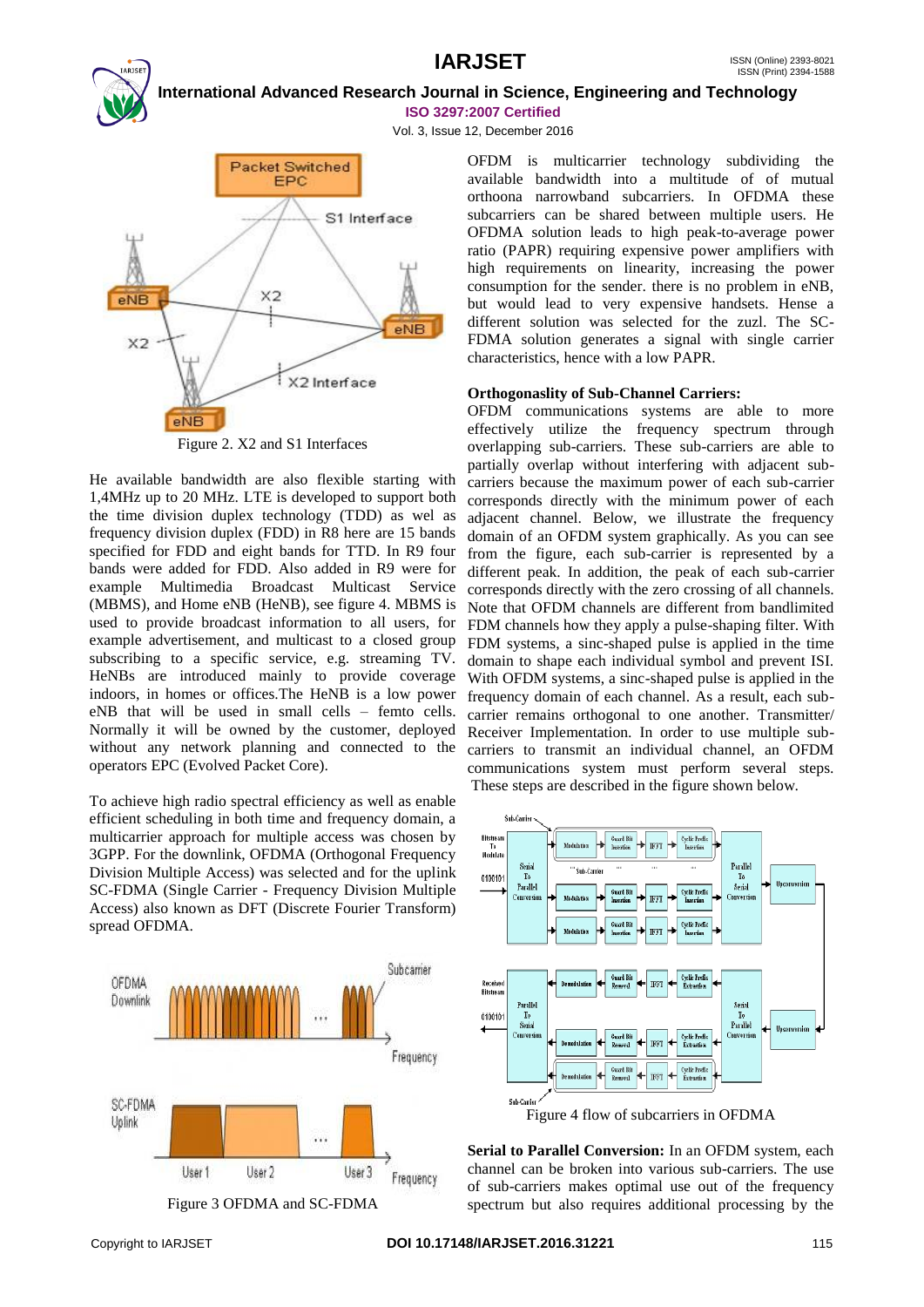**International Advanced Research Journal in Science, Engineering and Technology ISO 3297:2007 Certified**

Vol. 3, Issue 12, December 2016



Figure 2. X2 and S1 Interfaces

He available bandwidth are also flexible starting with 1,4MHz up to 20 MHz. LTE is developed to support both the time division duplex technology (TDD) as wel as frequency division duplex (FDD) in R8 here are 15 bands specified for FDD and eight bands for TTD. In R9 four bands were added for FDD. Also added in R9 were for example Multimedia Broadcast Multicast Service (MBMS), and Home eNB (HeNB), see figure 4. MBMS is used to provide broadcast information to all users, for example advertisement, and multicast to a closed group subscribing to a specific service, e.g. streaming TV. HeNBs are introduced mainly to provide coverage indoors, in homes or offices.The HeNB is a low power eNB that will be used in small cells – femto cells. Normally it will be owned by the customer, deployed without any network planning and connected to the operators EPC (Evolved Packet Core).

To achieve high radio spectral efficiency as well as enable efficient scheduling in both time and frequency domain, a multicarrier approach for multiple access was chosen by 3GPP. For the downlink, OFDMA (Orthogonal Frequency Division Multiple Access) was selected and for the uplink SC-FDMA (Single Carrier - Frequency Division Multiple Access) also known as DFT (Discrete Fourier Transform) spread OFDMA.



OFDM is multicarrier technology subdividing the available bandwidth into a multitude of of mutual orthoona narrowband subcarriers. In OFDMA these subcarriers can be shared between multiple users. He OFDMA solution leads to high peak-to-average power ratio (PAPR) requiring expensive power amplifiers with high requirements on linearity, increasing the power consumption for the sender. there is no problem in eNB, but would lead to very expensive handsets. Hense a different solution was selected for the zuzl. The SC-FDMA solution generates a signal with single carrier characteristics, hence with a low PAPR.

## **Orthogonaslity of Sub-Channel Carriers:**

OFDM communications systems are able to more effectively utilize the frequency spectrum through overlapping sub-carriers. These sub-carriers are able to partially overlap without interfering with adjacent subcarriers because the maximum power of each sub-carrier corresponds directly with the minimum power of each adjacent channel. Below, we illustrate the frequency domain of an OFDM system graphically. As you can see from the figure, each sub-carrier is represented by a different peak. In addition, the peak of each sub-carrier corresponds directly with the zero crossing of all channels. Note that OFDM channels are different from bandlimited FDM channels how they apply a pulse-shaping filter. With FDM systems, a sinc-shaped pulse is applied in the time domain to shape each individual symbol and prevent ISI. With OFDM systems, a sinc-shaped pulse is applied in the frequency domain of each channel. As a result, each subcarrier remains orthogonal to one another. Transmitter/ Receiver Implementation. In order to use multiple subcarriers to transmit an individual channel, an OFDM communications system must perform several steps. These steps are described in the figure shown below.



**Serial to Parallel Conversion:** In an OFDM system, each channel can be broken into various sub-carriers. The use of sub-carriers makes optimal use out of the frequency spectrum but also requires additional processing by the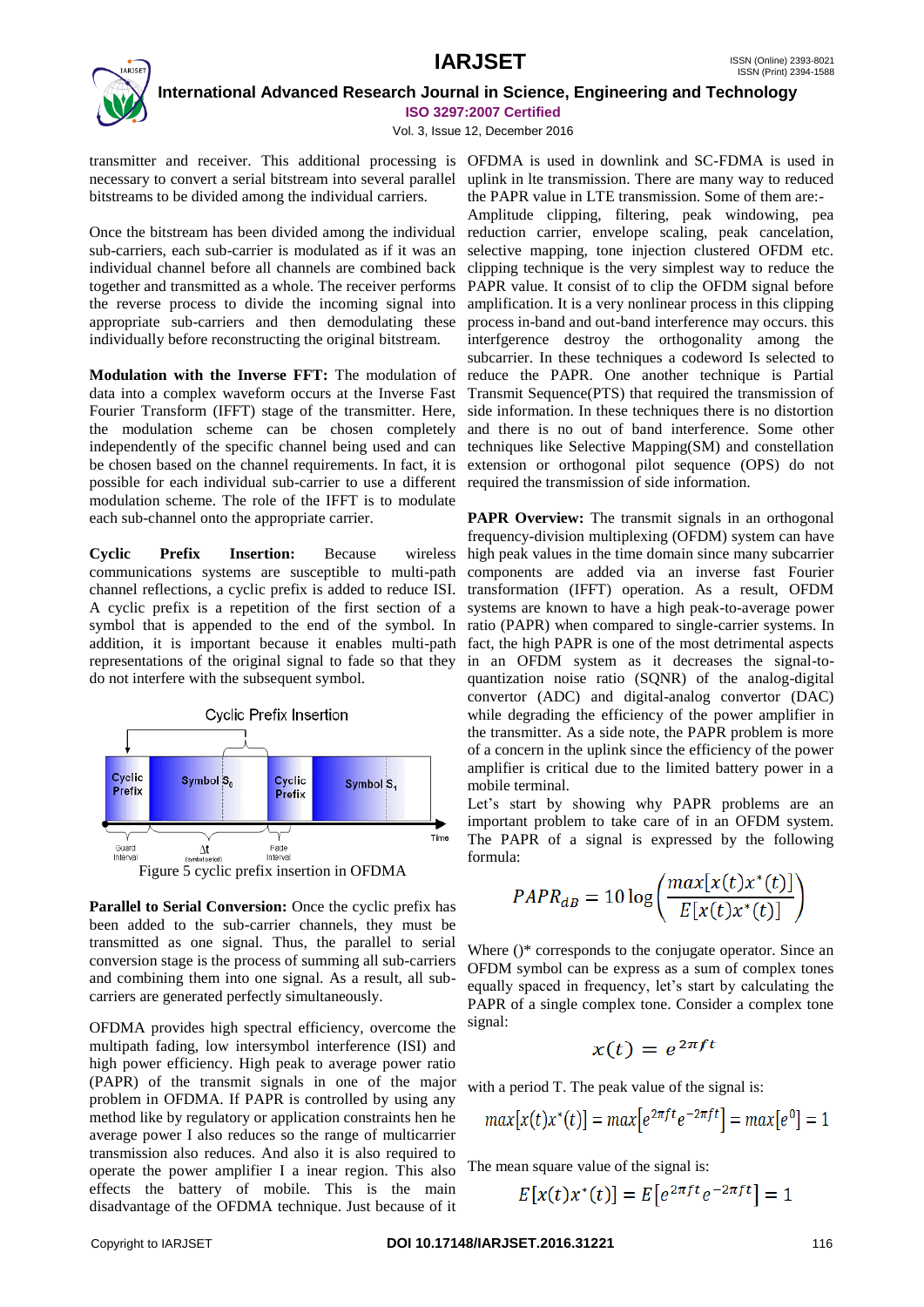# **IARJSET** ISSN (Online) 2393-8021



 **International Advanced Research Journal in Science, Engineering and Technology ISO 3297:2007 Certified**

Vol. 3, Issue 12, December 2016

necessary to convert a serial bitstream into several parallel uplink in lte transmission. There are many way to reduced bitstreams to be divided among the individual carriers.

Once the bitstream has been divided among the individual reduction carrier, envelope scaling, peak cancelation, sub-carriers, each sub-carrier is modulated as if it was an individual channel before all channels are combined back together and transmitted as a whole. The receiver performs the reverse process to divide the incoming signal into appropriate sub-carriers and then demodulating these individually before reconstructing the original bitstream.

**Modulation with the Inverse FFT:** The modulation of data into a complex waveform occurs at the Inverse Fast Fourier Transform (IFFT) stage of the transmitter. Here, the modulation scheme can be chosen completely independently of the specific channel being used and can be chosen based on the channel requirements. In fact, it is possible for each individual sub-carrier to use a different required the transmission of side information. modulation scheme. The role of the IFFT is to modulate each sub-channel onto the appropriate carrier.

**Cyclic Prefix Insertion:** Because communications systems are susceptible to multi-path components are added via an inverse fast Fourier channel reflections, a cyclic prefix is added to reduce ISI. transformation (IFFT) operation. As a result, OFDM A cyclic prefix is a repetition of the first section of a systems are known to have a high peak-to-average power symbol that is appended to the end of the symbol. In ratio (PAPR) when compared to single-carrier systems. In addition, it is important because it enables multi-path fact, the high PAPR is one of the most detrimental aspects representations of the original signal to fade so that they in an OFDM system as it decreases the signal-todo not interfere with the subsequent symbol.



Parallel to Serial Conversion: Once the cyclic prefix has been added to the sub-carrier channels, they must be transmitted as one signal. Thus, the parallel to serial conversion stage is the process of summing all sub-carriers and combining them into one signal. As a result, all subcarriers are generated perfectly simultaneously.

OFDMA provides high spectral efficiency, overcome the multipath fading, low intersymbol interference (ISI) and high power efficiency. High peak to average power ratio (PAPR) of the transmit signals in one of the major problem in OFDMA. If PAPR is controlled by using any method like by regulatory or application constraints hen he average power I also reduces so the range of multicarrier transmission also reduces. And also it is also required to operate the power amplifier I a inear region. This also effects the battery of mobile. This is the main disadvantage of the OFDMA technique. Just because of it

transmitter and receiver. This additional processing is OFDMA is used in downlink and SC-FDMA is used in the PAPR value in LTE transmission. Some of them are:-

Amplitude clipping, filtering, peak windowing, pea selective mapping, tone injection clustered OFDM etc. clipping technique is the very simplest way to reduce the PAPR value. It consist of to clip the OFDM signal before amplification. It is a very nonlinear process in this clipping process in-band and out-band interference may occurs. this interfgerence destroy the orthogonality among the subcarrier. In these techniques a codeword Is selected to reduce the PAPR. One another technique is Partial Transmit Sequence(PTS) that required the transmission of side information. In these techniques there is no distortion and there is no out of band interference. Some other techniques like Selective Mapping(SM) and constellation extension or orthogonal pilot sequence (OPS) do not

**PAPR Overview:** The transmit signals in an orthogonal frequency-division multiplexing (OFDM) system can have wireless high peak values in the time domain since many subcarrier quantization noise ratio (SQNR) of the analog-digital convertor (ADC) and digital-analog convertor (DAC) while degrading the efficiency of the power amplifier in the transmitter. As a side note, the PAPR problem is more of a concern in the uplink since the efficiency of the power amplifier is critical due to the limited battery power in a mobile terminal.

> Let's start by showing why PAPR problems are an important problem to take care of in an OFDM system. The PAPR of a signal is expressed by the following formula:

$$
PAPR_{dB} = 10 \log \left( \frac{max[x(t)x^*(t)]}{E[x(t)x^*(t)]} \right)
$$

Where ()\* corresponds to the conjugate operator. Since an OFDM symbol can be express as a sum of complex tones equally spaced in frequency, let's start by calculating the PAPR of a single complex tone. Consider a complex tone signal:

$$
x(t) = e^{2\pi ft}
$$

with a period T. The peak value of the signal is:

$$
max[x(t)x^*(t)]=max\big[e^{2\pi ft}e^{-2\pi ft}\big]=max[e^0]=1
$$

The mean square value of the signal is:

$$
E[x(t)x^*(t)] = E[e^{2\pi ft}e^{-2\pi ft}] = 1
$$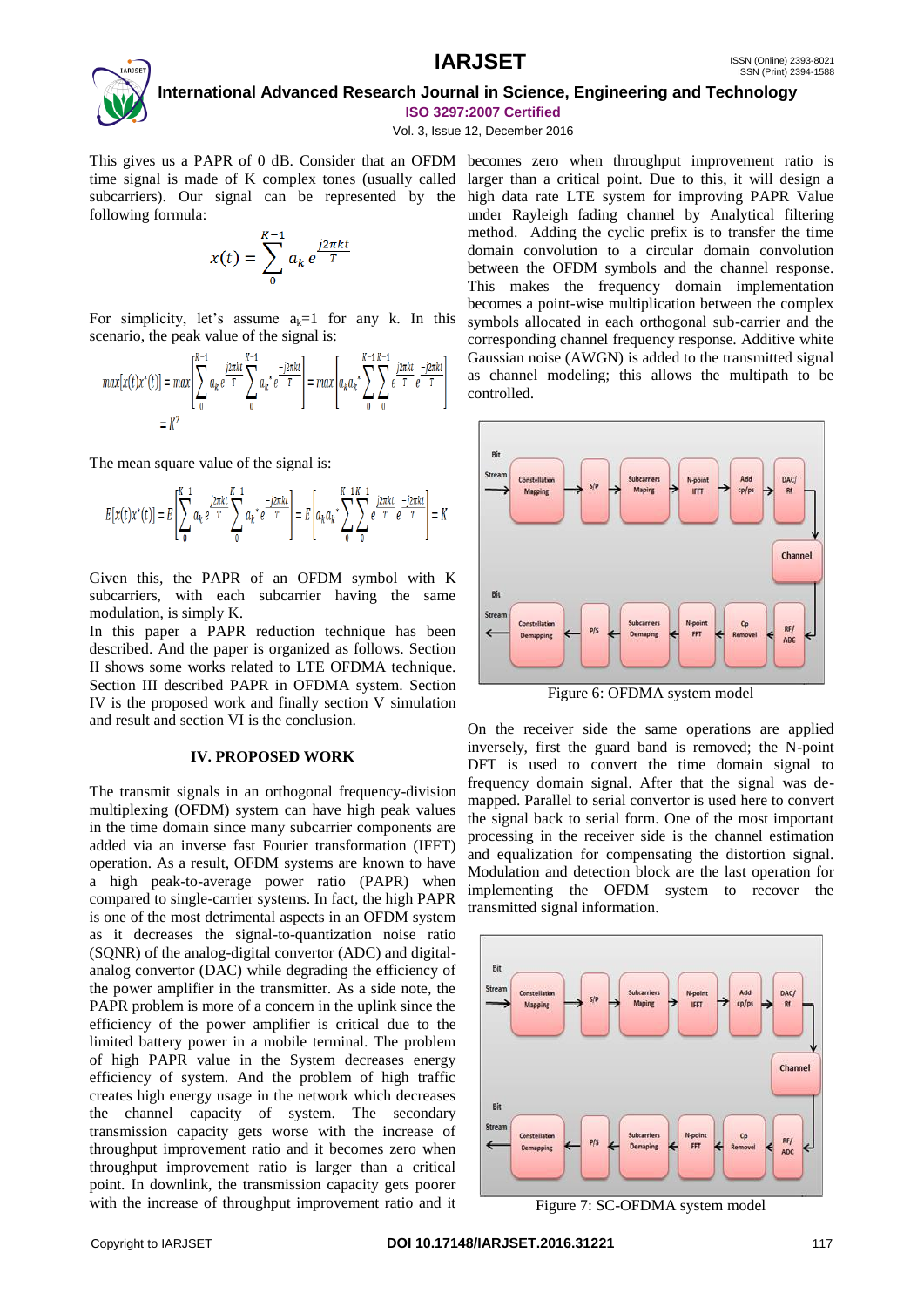

Vol. 3, Issue 12, December 2016

following formula:

$$
x(t) = \sum_{0}^{K-1} a_k e^{\frac{j2\pi kt}{T}}
$$

For simplicity, let's assume  $a_k=1$  for any k. In this scenario, the peak value of the signal is:

$$
max[x(t)x^*(t)] = max \left[ \sum_{0}^{K-1} a_k e^{\frac{j2\pi kt}{T}} \sum_{0}^{K-1} a_k e^{\frac{-j2\pi kt}{T}} \right] = max \left[ a_k a_k \sum_{0}^{K-1} \sum_{0}^{K-1} e^{\frac{j2\pi kt}{T}} e^{\frac{-j2\pi kt}{T}} \right]
$$
  
=  $K^2$ 

The mean square value of the signal is:

$$
E[x(t)x^*(t)] = E\left[\sum_{0}^{K-1} a_k e^{\frac{j2\pi kt}{T}} \sum_{0}^{K-1} a_k e^{-\frac{j2\pi kt}{T}}\right] = E\left[a_k a_k \sum_{0}^{K-1} \sum_{0}^{K-1} e^{\frac{j2\pi kt}{T}} e^{-\frac{j2\pi kt}{T}}\right] = K
$$

Given this, the PAPR of an OFDM symbol with K subcarriers, with each subcarrier having the same modulation, is simply K.

In this paper a PAPR reduction technique has been described. And the paper is organized as follows. Section II shows some works related to LTE OFDMA technique. Section III described PAPR in OFDMA system. Section IV is the proposed work and finally section V simulation and result and section VI is the conclusion.

### **IV. PROPOSED WORK**

The transmit signals in an orthogonal frequency-division multiplexing (OFDM) system can have high peak values in the time domain since many subcarrier components are added via an inverse fast Fourier transformation (IFFT) operation. As a result, OFDM systems are known to have a high peak-to-average power ratio (PAPR) when compared to single-carrier systems. In fact, the high PAPR is one of the most detrimental aspects in an OFDM system as it decreases the signal-to-quantization noise ratio (SQNR) of the analog-digital convertor (ADC) and digitalanalog convertor (DAC) while degrading the efficiency of the power amplifier in the transmitter. As a side note, the PAPR problem is more of a concern in the uplink since the efficiency of the power amplifier is critical due to the limited battery power in a mobile terminal. The problem of high PAPR value in the System decreases energy efficiency of system. And the problem of high traffic creates high energy usage in the network which decreases the channel capacity of system. The secondary transmission capacity gets worse with the increase of throughput improvement ratio and it becomes zero when throughput improvement ratio is larger than a critical point. In downlink, the transmission capacity gets poorer with the increase of throughput improvement ratio and it

This gives us a PAPR of 0 dB. Consider that an OFDM becomes zero when throughput improvement ratio is time signal is made of K complex tones (usually called larger than a critical point. Due to this, it will design a subcarriers). Our signal can be represented by the high data rate LTE system for improving PAPR Value under Rayleigh fading channel by Analytical filtering method. Adding the cyclic prefix is to transfer the time domain convolution to a circular domain convolution between the OFDM symbols and the channel response. This makes the frequency domain implementation becomes a point-wise multiplication between the complex symbols allocated in each orthogonal sub-carrier and the corresponding channel frequency response. Additive white Gaussian noise (AWGN) is added to the transmitted signal as channel modeling; this allows the multipath to be controlled.



Figure 6: OFDMA system model

On the receiver side the same operations are applied inversely, first the guard band is removed; the N-point DFT is used to convert the time domain signal to frequency domain signal. After that the signal was demapped. Parallel to serial convertor is used here to convert the signal back to serial form. One of the most important processing in the receiver side is the channel estimation and equalization for compensating the distortion signal. Modulation and detection block are the last operation for implementing the OFDM system to recover the transmitted signal information.



Figure 7: SC-OFDMA system model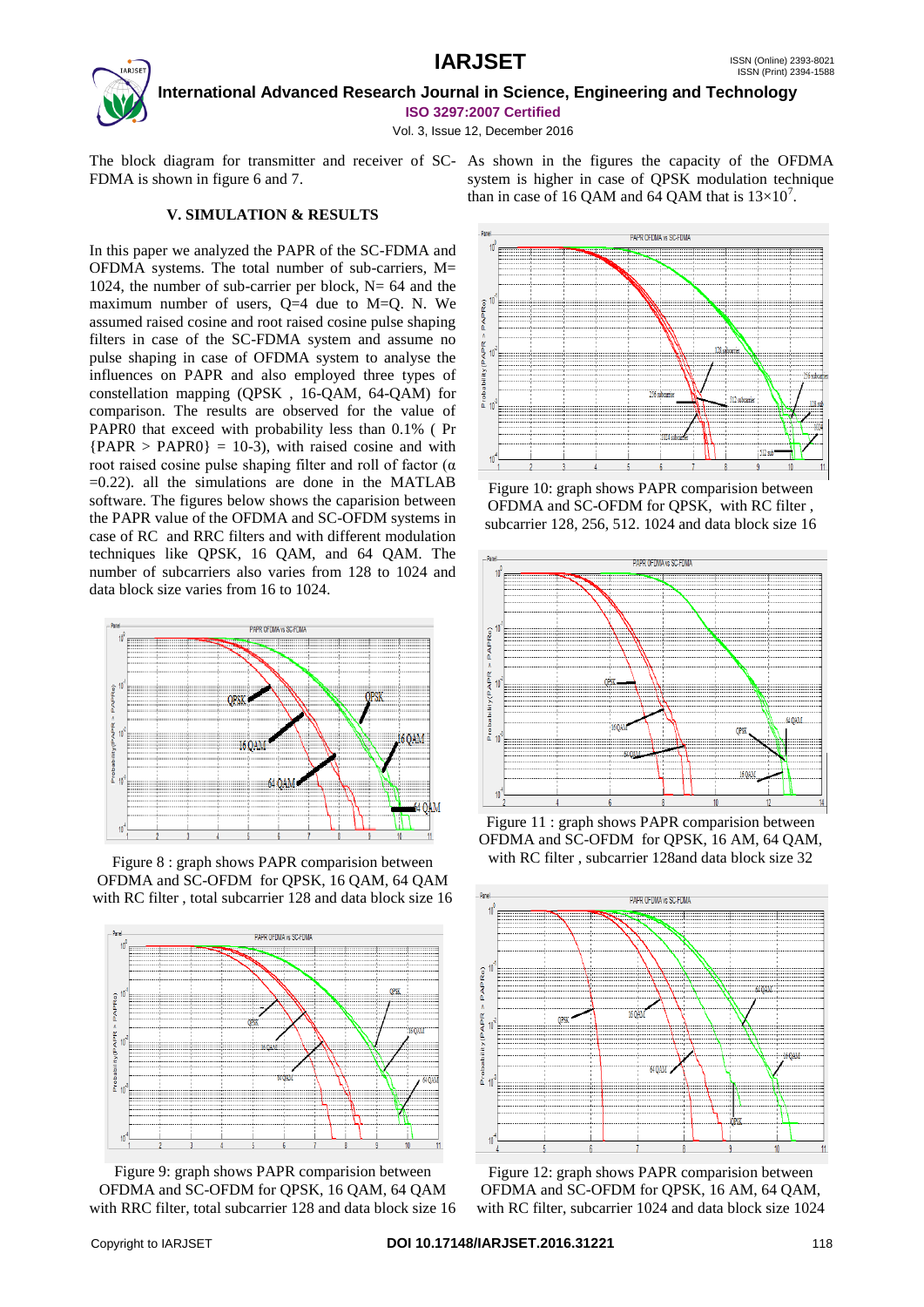# **IARJSET** ISSN (Online) 2393-8021



 **International Advanced Research Journal in Science, Engineering and Technology ISO 3297:2007 Certified**

Vol. 3, Issue 12, December 2016

The block diagram for transmitter and receiver of SC-As shown in the figures the capacity of the OFDMA FDMA is shown in figure 6 and 7.

system is higher in case of QPSK modulation technique than in case of 16 QAM and 64 QAM that is  $13\times10^{7}$ .

# **V. SIMULATION & RESULTS**

In this paper we analyzed the PAPR of the SC-FDMA and OFDMA systems. The total number of sub-carriers, M= 1024, the number of sub-carrier per block,  $N = 64$  and the maximum number of users,  $Q=4$  due to M=Q. N. We assumed raised cosine and root raised cosine pulse shaping filters in case of the SC-FDMA system and assume no pulse shaping in case of OFDMA system to analyse the influences on PAPR and also employed three types of constellation mapping (QPSK , 16-QAM, 64-QAM) for comparison. The results are observed for the value of PAPR0 that exceed with probability less than 0.1% ( Pr  ${PAPR > PAPR0} = 10-3$ , with raised cosine and with root raised cosine pulse shaping filter and roll of factor (α  $=0.22$ ). all the simulations are done in the MATLAB software. The figures below shows the caparision between the PAPR value of the OFDMA and SC-OFDM systems in case of RC and RRC filters and with different modulation techniques like QPSK, 16 QAM, and 64 QAM. The number of subcarriers also varies from 128 to 1024 and data block size varies from 16 to 1024.



Figure 8 : graph shows PAPR comparision between OFDMA and SC-OFDM for QPSK, 16 QAM, 64 QAM with RC filter , total subcarrier 128 and data block size 16



Figure 9: graph shows PAPR comparision between OFDMA and SC-OFDM for QPSK, 16 QAM, 64 QAM with RRC filter, total subcarrier 128 and data block size 16



Figure 10: graph shows PAPR comparision between OFDMA and SC-OFDM for QPSK, with RC filter , subcarrier 128, 256, 512. 1024 and data block size 16



Figure 11 : graph shows PAPR comparision between OFDMA and SC-OFDM for QPSK, 16 AM, 64 QAM, with RC filter , subcarrier 128and data block size 32



Figure 12: graph shows PAPR comparision between OFDMA and SC-OFDM for QPSK, 16 AM, 64 QAM, with RC filter, subcarrier 1024 and data block size 1024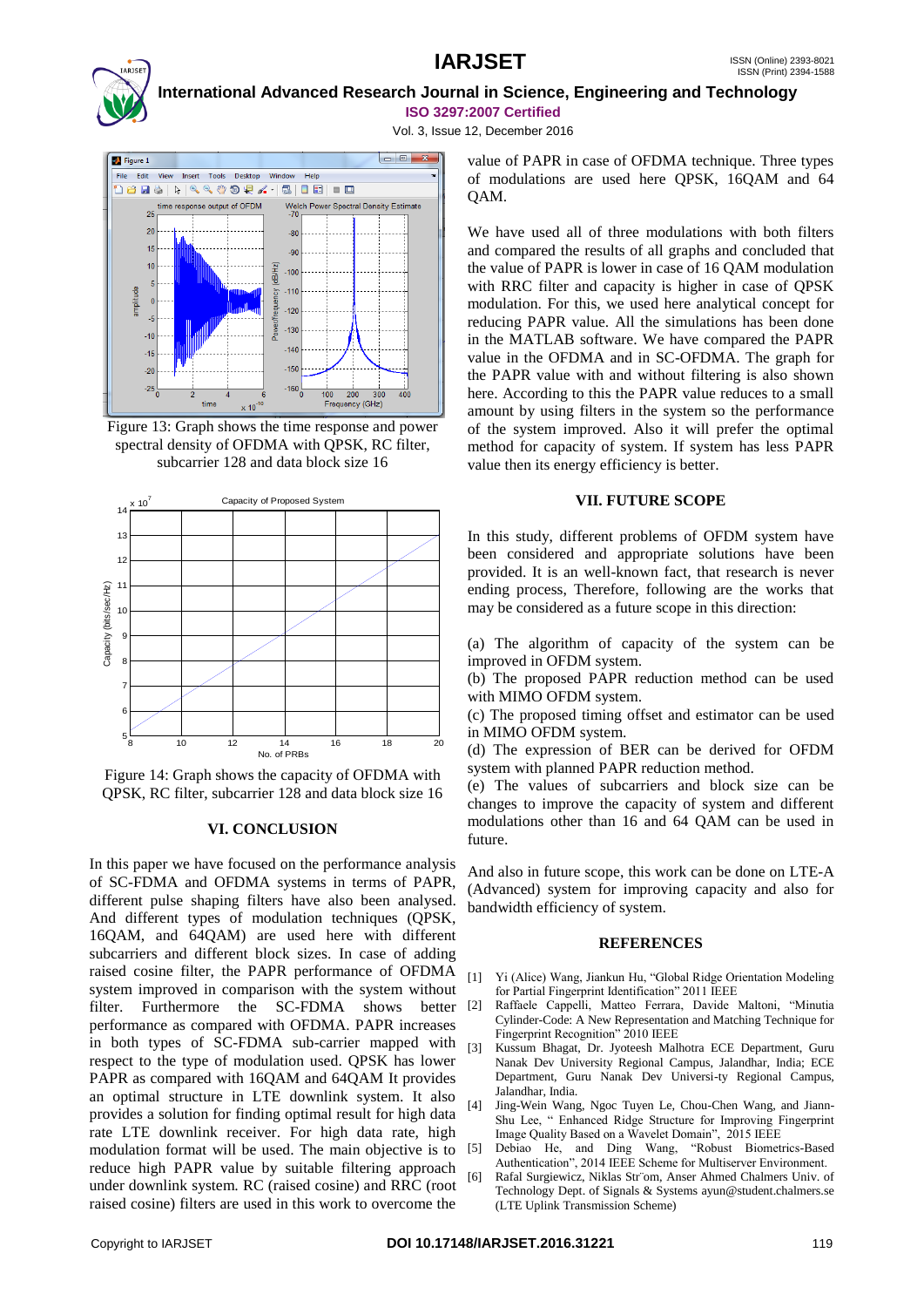# **IARJSET** ISSN (Online) 2393-8021



# **International Advanced Research Journal in Science, Engineering and Technology ISO 3297:2007 Certified**

Vol. 3, Issue 12, December 2016









### **VI. CONCLUSION**

In this paper we have focused on the performance analysis of SC-FDMA and OFDMA systems in terms of PAPR, different pulse shaping filters have also been analysed. And different types of modulation techniques (QPSK, 16QAM, and 64QAM) are used here with different subcarriers and different block sizes. In case of adding raised cosine filter, the PAPR performance of OFDMA system improved in comparison with the system without filter. Furthermore the SC-FDMA shows better performance as compared with OFDMA. PAPR increases in both types of SC-FDMA sub-carrier mapped with respect to the type of modulation used. QPSK has lower PAPR as compared with 16QAM and 64QAM It provides an optimal structure in LTE downlink system. It also provides a solution for finding optimal result for high data rate LTE downlink receiver. For high data rate, high modulation format will be used. The main objective is to reduce high PAPR value by suitable filtering approach under downlink system. RC (raised cosine) and RRC (root raised cosine) filters are used in this work to overcome the

value of PAPR in case of OFDMA technique. Three types of modulations are used here QPSK, 16QAM and 64 QAM.

We have used all of three modulations with both filters and compared the results of all graphs and concluded that the value of PAPR is lower in case of 16 QAM modulation with RRC filter and capacity is higher in case of QPSK modulation. For this, we used here analytical concept for reducing PAPR value. All the simulations has been done in the MATLAB software. We have compared the PAPR value in the OFDMA and in SC-OFDMA. The graph for the PAPR value with and without filtering is also shown here. According to this the PAPR value reduces to a small amount by using filters in the system so the performance of the system improved. Also it will prefer the optimal method for capacity of system. If system has less PAPR value then its energy efficiency is better.

### **VII. FUTURE SCOPE**

In this study, different problems of OFDM system have been considered and appropriate solutions have been provided. It is an well-known fact, that research is never ending process, Therefore, following are the works that may be considered as a future scope in this direction:

(a) The algorithm of capacity of the system can be improved in OFDM system.

(b) The proposed PAPR reduction method can be used with MIMO OFDM system.

(c) The proposed timing offset and estimator can be used in MIMO OFDM system.

(d) The expression of BER can be derived for OFDM system with planned PAPR reduction method.

(e) The values of subcarriers and block size can be changes to improve the capacity of system and different modulations other than 16 and 64 QAM can be used in future.

And also in future scope, this work can be done on LTE-A (Advanced) system for improving capacity and also for bandwidth efficiency of system.

### **REFERENCES**

- [1] Yi (Alice) Wang, Jiankun Hu, "Global Ridge Orientation Modeling for Partial Fingerprint Identification" 2011 IEEE
- [2] Raffaele Cappelli, Matteo Ferrara, Davide Maltoni, "Minutia Cylinder-Code: A New Representation and Matching Technique for Fingerprint Recognition" 2010 IEEE
- [3] Kussum Bhagat, Dr. Jyoteesh Malhotra ECE Department, Guru Nanak Dev University Regional Campus, Jalandhar, India; ECE Department, Guru Nanak Dev Universi-ty Regional Campus, Jalandhar, India.
- [4] Jing-Wein Wang, Ngoc Tuyen Le, Chou-Chen Wang, and Jiann-Shu Lee, " Enhanced Ridge Structure for Improving Fingerprint Image Quality Based on a Wavelet Domain", 2015 IEEE
- [5] Debiao He, and Ding Wang, "Robust Biometrics-Based Authentication", 2014 IEEE Scheme for Multiserver Environment.
- [6] Rafal Surgiewicz, Niklas Str¨om, Anser Ahmed Chalmers Univ. of Technology Dept. of Signals & Systems ayun@student.chalmers.se (LTE Uplink Transmission Scheme)